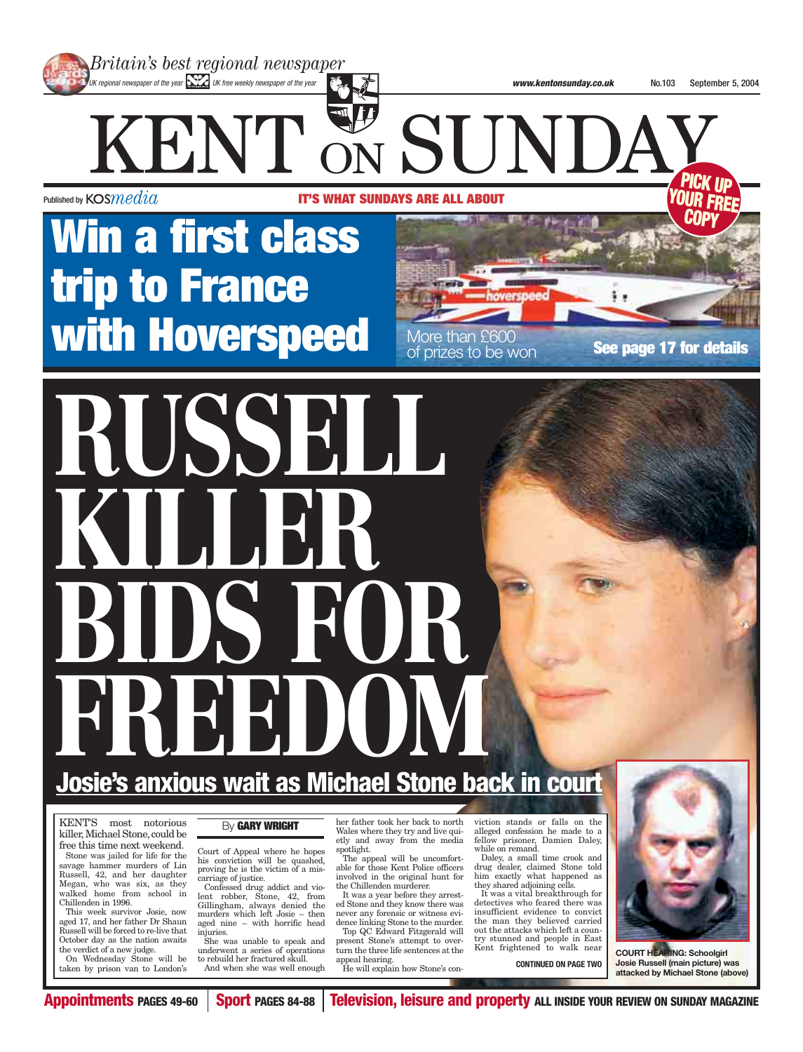

**PICK UP YOUR FREE COPY**

Published by  ${\tt KOS}{}{}{media}$ 

**IT'S WHAT SUNDAYS ARE ALL ABOUT**

KENT & SUNDA

of prizes to be won

## **Win a first class trip to France with Hoverspeed** More than £600 **See page 17 for details**

# **RUSSELL** KILLERR **BIDS FOR FIREE ENDING**

### **Josie's anxious wait as Michael Stone back in court**

KENT'S most notorious killer, Michael Stone, could be free this time next weekend. Stone was jailed for life for the savage hammer murders of Lin Russell, 42, and her daughter Megan, who was six, as they walked home from school in Chillenden in 1996.

This week survivor Josie, now aged 17, and her father Dr Shaun Russell will be forced to re-live that October day as the nation awaits the verdict of a new judge.

On Wednesday Stone will be taken by prison van to London's

#### By **GARY WRIGHT**

Court of Appeal where he hopes his conviction will be quashed, proving he is the victim of a miscarriage of justice.

Confessed drug addict and violent robber, Stone, 42, from Gillingham, always denied the murders which left Josie – then aged nine – with horrific head injuries. She was unable to speak and

underwent a series of operations to rebuild her fractured skull. And when she was well enough

her father took her back to north Wales where they try and live quietly and away from the media fellow prisoner, Damien Daley, spotlight.

The appeal will be uncomfortable for those Kent Police officers involved in the original hunt for the Chillenden murderer.

It was a year before they arrested Stone and they know there was never any forensic or witness evidence linking Stone to the murder.

Top QC Edward Fitzgerald will present Stone's attempt to overturn the three life sentences at the appeal hearing. He will explain how Stone's conviction stands or falls on the alleged confession he made to a while on remand.

Daley, a small time crook and drug dealer, claimed Stone told him exactly what happened as they shared adjoining cells.

It was a vital breakthrough for detectives who feared there was insufficient evidence to convict the man they believed carried out the attacks which left a country stunned and people in East Kent frightened to walk near

**CONTINUED ON PAGE TWO**



**COURT HEARING: Schoolgirl Josie Russell (main picture) was attacked by Michael Stone (above)**